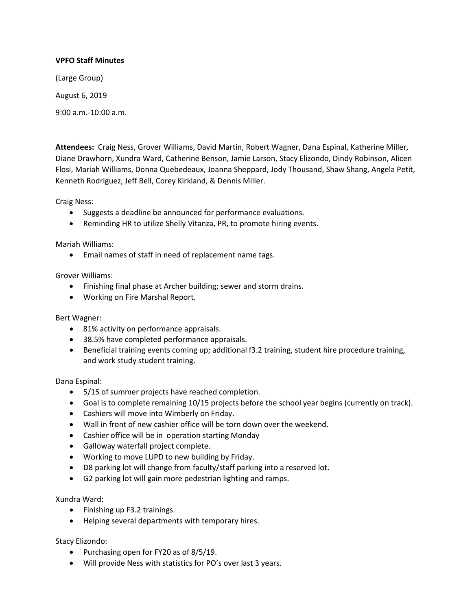# **VPFO Staff Minutes**

(Large Group)

August 6, 2019

9:00 a.m.-10:00 a.m.

**Attendees:** Craig Ness, Grover Williams, David Martin, Robert Wagner, Dana Espinal, Katherine Miller, Diane Drawhorn, Xundra Ward, Catherine Benson, Jamie Larson, Stacy Elizondo, Dindy Robinson, Alicen Flosi, Mariah Williams, Donna Quebedeaux, Joanna Sheppard, Jody Thousand, Shaw Shang, Angela Petit, Kenneth Rodriguez, Jeff Bell, Corey Kirkland, & Dennis Miller.

Craig Ness:

- Suggests a deadline be announced for performance evaluations.
- Reminding HR to utilize Shelly Vitanza, PR, to promote hiring events.

Mariah Williams:

• Email names of staff in need of replacement name tags.

Grover Williams:

- Finishing final phase at Archer building; sewer and storm drains.
- Working on Fire Marshal Report.

Bert Wagner:

- 81% activity on performance appraisals.
- 38.5% have completed performance appraisals.
- Beneficial training events coming up; additional f3.2 training, student hire procedure training, and work study student training.

Dana Espinal:

- 5/15 of summer projects have reached completion.
- Goal is to complete remaining 10/15 projects before the school year begins (currently on track).
- Cashiers will move into Wimberly on Friday.
- Wall in front of new cashier office will be torn down over the weekend.
- Cashier office will be in operation starting Monday
- Galloway waterfall project complete.
- Working to move LUPD to new building by Friday.
- D8 parking lot will change from faculty/staff parking into a reserved lot.
- G2 parking lot will gain more pedestrian lighting and ramps.

Xundra Ward:

- Finishing up F3.2 trainings.
- Helping several departments with temporary hires.

Stacy Elizondo:

- Purchasing open for FY20 as of 8/5/19.
- Will provide Ness with statistics for PO's over last 3 years.